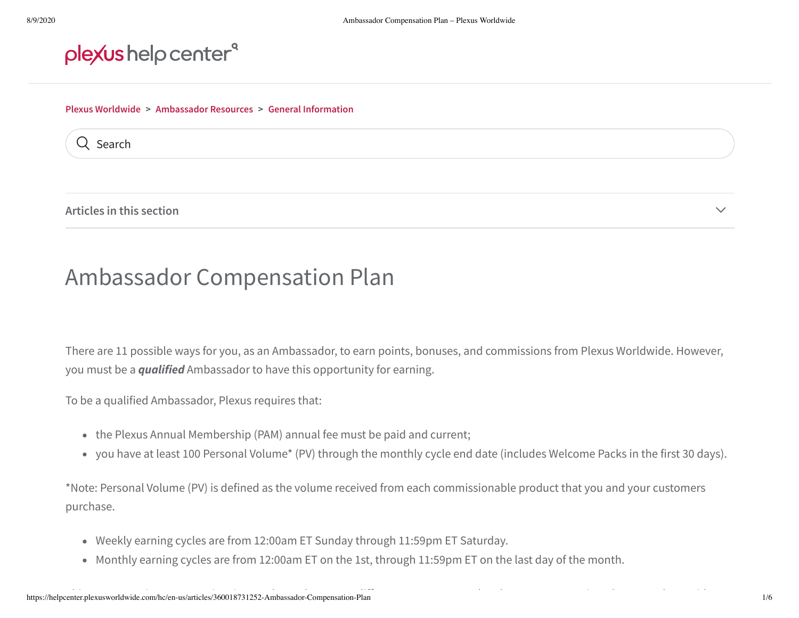## plexus help center<sup>®</sup>

#### **Plexus Worldwide > Ambassador Resources > General Information**

Q Search

**Articles in this section** ▾

# Ambassador Compensation Plan

There are 11 possible ways for you, as an Ambassador, to earn points, bonuses, and commissions from Plexus Worldwide. However, you must be a *qualified* Ambassador to have this opportunity for earning.

To be a qualified Ambassador, Plexus requires that:

- the Plexus Annual Membership (PAM) annual fee must be paid and current;
- you have at least 100 Personal Volume\* (PV) through the monthly cycle end date (includes Welcome Packs in the first 30 days).

\*Note: Personal Volume (PV) is defined as the volume received from each commissionable product that you and your customers purchase.

- Weekly earning cycles are from 12:00am ET Sunday through 11:59pm ET Saturday.
- Monthly earning cycles are from 12:00am ET on the 1st, through 11:59pm ET on the last day of the month.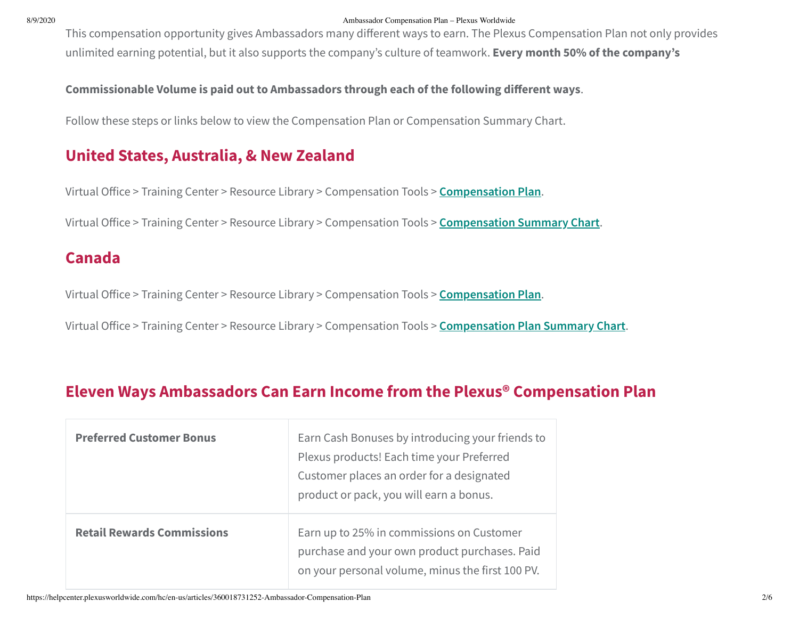#### 8/9/2020 Ambassador Compensation Plan – Plexus Worldwide

This compensation opportunity gives Ambassadors many different ways to earn. The Plexus Compensation Plan not only provides unlimited earning potential, but it also supports the company's culture of teamwork. **Every month 50% of the company's**

**Commissionable Volume is paid out to Ambassadors through each of the following dierent ways**.

Follow these steps or links below to view the Compensation Plan or Compensation Summary Chart.

### **United States, Australia, & New Zealand**

Virtual Office > Training Center > Resource Library > Compensation Tools > **Compensation Plan**.

Virtual Oice > Training Center > Resource Library > Compensation Tools > **Compensation Summary Chart**.

#### **Canada**

Virtual Office > Training Center > Resource Library > Compensation Tools > **Compensation Plan**.

Virtual Office > Training Center > Resource Library > Compensation Tools > **Compensation Plan Summary Chart**.

### **Eleven Ways Ambassadors Can Earn Income from the Plexus® Compensation Plan**

| <b>Preferred Customer Bonus</b>   | Earn Cash Bonuses by introducing your friends to<br>Plexus products! Each time your Preferred<br>Customer places an order for a designated<br>product or pack, you will earn a bonus. |
|-----------------------------------|---------------------------------------------------------------------------------------------------------------------------------------------------------------------------------------|
| <b>Retail Rewards Commissions</b> | Earn up to 25% in commissions on Customer<br>purchase and your own product purchases. Paid<br>on your personal volume, minus the first 100 PV.                                        |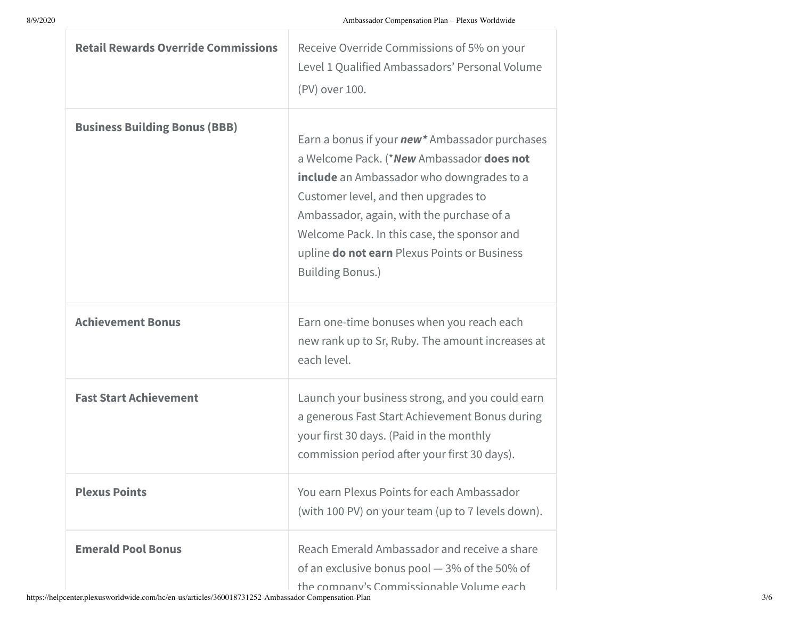| <b>Retail Rewards Override Commissions</b> | Receive Override Commissions of 5% on your<br>Level 1 Qualified Ambassadors' Personal Volume<br>(PV) over 100.                                                                                                                                                                                                                                                  |
|--------------------------------------------|-----------------------------------------------------------------------------------------------------------------------------------------------------------------------------------------------------------------------------------------------------------------------------------------------------------------------------------------------------------------|
| <b>Business Building Bonus (BBB)</b>       | Earn a bonus if your <b>new</b> * Ambassador purchases<br>a Welcome Pack. (*New Ambassador does not<br>include an Ambassador who downgrades to a<br>Customer level, and then upgrades to<br>Ambassador, again, with the purchase of a<br>Welcome Pack. In this case, the sponsor and<br>upline do not earn Plexus Points or Business<br><b>Building Bonus.)</b> |
| <b>Achievement Bonus</b>                   | Earn one-time bonuses when you reach each<br>new rank up to Sr, Ruby. The amount increases at<br>each level.                                                                                                                                                                                                                                                    |
| <b>Fast Start Achievement</b>              | Launch your business strong, and you could earn<br>a generous Fast Start Achievement Bonus during<br>your first 30 days. (Paid in the monthly<br>commission period after your first 30 days).                                                                                                                                                                   |
| <b>Plexus Points</b>                       | You earn Plexus Points for each Ambassador<br>(with 100 PV) on your team (up to 7 levels down).                                                                                                                                                                                                                                                                 |
| <b>Emerald Pool Bonus</b>                  | Reach Emerald Ambassador and receive a share<br>of an exclusive bonus pool $-3\%$ of the 50% of<br>the company's Commissionable Volume each                                                                                                                                                                                                                     |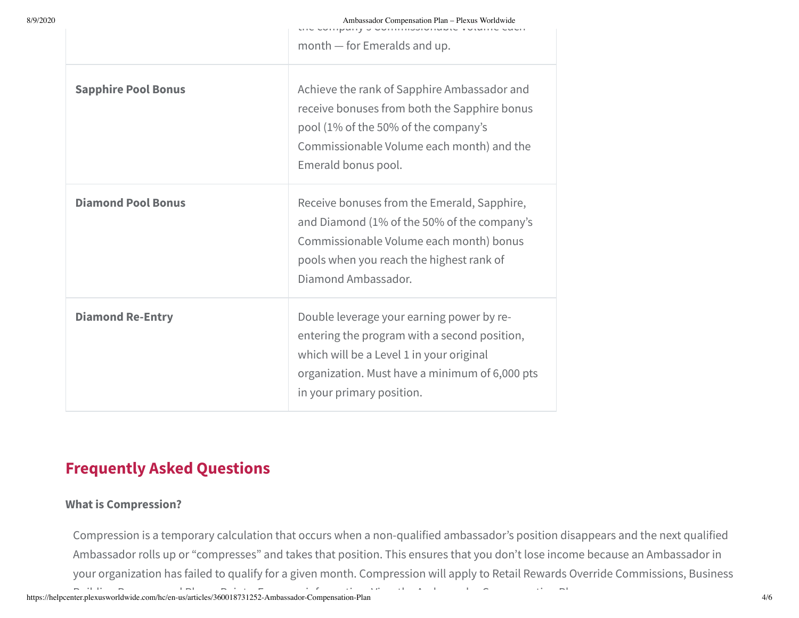|  |  | in announcement of the community of the second second or |  |  |
|--|--|----------------------------------------------------------|--|--|
|  |  |                                                          |  |  |

month — for Emeralds and up.

| <b>Sapphire Pool Bonus</b> | Achieve the rank of Sapphire Ambassador and<br>receive bonuses from both the Sapphire bonus<br>pool (1% of the 50% of the company's<br>Commissionable Volume each month) and the<br>Emerald bonus pool.              |
|----------------------------|----------------------------------------------------------------------------------------------------------------------------------------------------------------------------------------------------------------------|
| <b>Diamond Pool Bonus</b>  | Receive bonuses from the Emerald, Sapphire,<br>and Diamond (1% of the 50% of the company's<br>Commissionable Volume each month) bonus<br>pools when you reach the highest rank of<br>Diamond Ambassador.             |
| <b>Diamond Re-Entry</b>    | Double leverage your earning power by re-<br>entering the program with a second position,<br>which will be a Level 1 in your original<br>organization. Must have a minimum of 6,000 pts<br>in your primary position. |

## **Frequently Asked Questions**

#### **What is Compression?**

Compression is a temporary calculation that occurs when a non-qualified ambassador's position disappears and the next qualified Ambassador rolls up or "compresses" and takes that position. This ensures that you don't lose income because an Ambassador in your organization has failed to qualify for a given month. Compression will apply to Retail Rewards Override Commissions, Business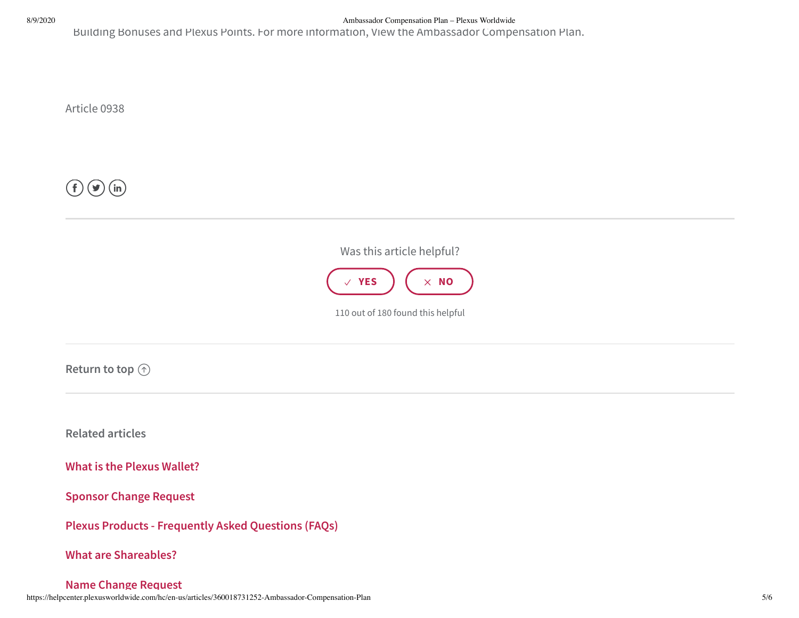8/9/2020 Ambassador Compensation Plan – Plexus Worldwide

Building Bonuses and Plexus Points. For more information, View the Ambassador Compensation Plan.

Article 0938

 $\left(\,\mathsf{f}\, \right)\left(\blacktriangleright\right)\left(\mathsf{in}\right)$